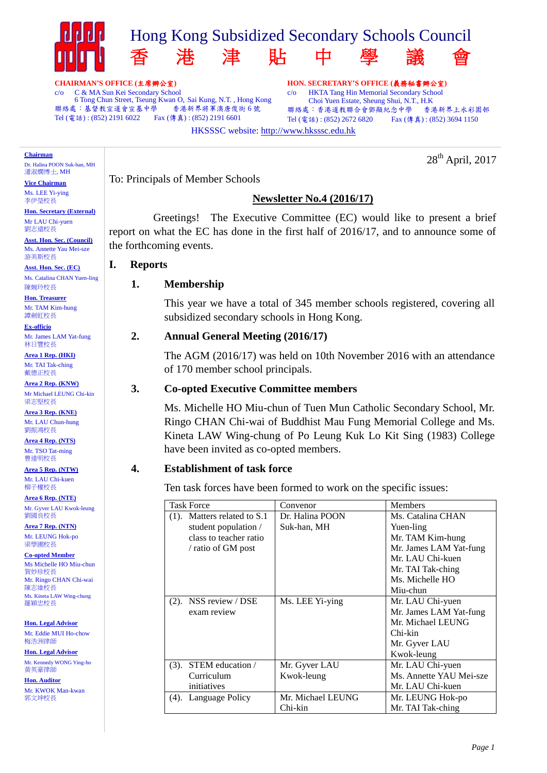

HKSSSC website: http://www.hksssc.edu.hk

**CHAIRMAN'S OFFICE (**主席辦公室**)**

c/o C & MA Sun Kei Secondary School 6 Tong Chun Street, Tseung Kwan O, Sai Kung, N.T., Hong Kong<br>5 : 基督教宣道會宣基中學 - 香港新界將軍澳唐俊街 6 號 聯絡處:基督教宣道會宣基中學 Tel (電話) : (852) 2191 6022 Fax (傳真) : (852) 2191 6601

**Chairman**

Dr. Halina POON Suk-han, MH 潘淑嫻博士, MH

**Vice Chairman** Ms. LEE Yi-ying 李伊瑩校長

**Hon. Secretary (External)** Mr LAU Chi-yuen 劉志遠校長

**Asst. Hon. Sec. (Council)** Ms. Annette Yau Mei-sze 游美斯校長

**Asst. Hon. Sec. (EC)** Ms. Catalina CHAN Yuen-ling

陳婉玲校長 **Hon. Treasurer**

Mr. TAM Kim-hung 譚劍虹校長

**Ex-officio** Mr. James LAM Yat-fung 林日豐校長

**Area 1 Rep. (HKI)** Mr. TAI Tak-ching 戴德正校長

**Area 2 Rep. (KNW)** Mr Michael LEUNG Chi-kin 梁志堅校長

**Area 3 Rep. (KNE)** Mr. LAU Chun-hung 劉振鴻校長

**Area 4 Rep. (NTS)** Mr. TSO Tat-ming 曹達明校長

**Area 5 Rep. (NTW)** Mr. LAU Chi-kuen 柳子權校長

**Area 6 Rep. (NTE)** Mr. Gyver LAU Kwok-leung 劉國良校長

**Area 7 Rep. (NTN)** Mr. LEUNG Hok-po 梁學圃校長

**Co-opted Member** Ms Michelle HO Miu-chun 賀妙珍校長 Mr. Ringo CHAN Chi-wai 陳志維校長 Ms. Kineta LAW Wing-chung 羅穎忠校長

**Hon. Legal Advisor** Mr. Eddie MUI Ho-chow 梅浩洲律師

**Hon. Legal Advisor**

Mr. Kennedy WONG Ying-ho 黃英豪律師

**Hon. Auditor**

Mr. KWOK Man-kwan 郭文坤校長

To: Principals of Member Schools

# **Newsletter No.4 (2016/17)**

**HON. SECRETARY'S OFFICE (**義務秘書辦公室**)** c/o HKTA Tang Hin Memorial Secondary School Choi Yuen Estate, Sheung Shui, N.T., H.K

聯絡處:香港道教聯合會鄧顯紀念中學 香港新界上水彩園邨 Tel (電話): (852) 2672 6820 Fax (傳真): (852) 3694 1150

28<sup>th</sup> April, 2017

Greetings! The Executive Committee (EC) would like to present a brief report on what the EC has done in the first half of 2016/17, and to announce some of the forthcoming events.

#### **I. Reports**

# **1. Membership**

This year we have a total of 345 member schools registered, covering all subsidized secondary schools in Hong Kong.

## **2. Annual General Meeting (2016/17)**

The AGM (2016/17) was held on 10th November 2016 with an attendance of 170 member school principals.

## **3. Co-opted Executive Committee members**

Ms. Michelle HO Miu-chun of Tuen Mun Catholic Secondary School, Mr. Ringo CHAN Chi-wai of Buddhist Mau Fung Memorial College and Ms. Kineta LAW Wing-chung of Po Leung Kuk Lo Kit Sing (1983) College have been invited as co-opted members.

## **4. Establishment of task force**

Ten task forces have been formed to work on the specific issues:

| <b>Task Force</b>              | Convenor          | <b>Members</b>          |
|--------------------------------|-------------------|-------------------------|
| $(1)$ . Matters related to S.1 | Dr. Halina POON   | Ms. Catalina CHAN       |
| student population /           | Suk-han, MH       | Yuen-ling               |
| class to teacher ratio         |                   | Mr. TAM Kim-hung        |
| / ratio of GM post             |                   | Mr. James LAM Yat-fung  |
|                                |                   | Mr. LAU Chi-kuen        |
|                                |                   | Mr. TAI Tak-ching       |
|                                |                   | Ms. Michelle HO         |
|                                |                   | Miu-chun                |
| $(2)$ . NSS review / DSE       | Ms. LEE Yi-ying   | Mr. LAU Chi-yuen        |
| exam review                    |                   | Mr. James LAM Yat-fung  |
|                                |                   | Mr. Michael LEUNG       |
|                                |                   | Chi-kin                 |
|                                |                   | Mr. Gyver LAU           |
|                                |                   | Kwok-leung              |
| STEM education /<br>(3).       | Mr. Gyver LAU     | Mr. LAU Chi-yuen        |
| Curriculum                     | Kwok-leung        | Ms. Annette YAU Mei-sze |
| initiatives                    |                   | Mr. LAU Chi-kuen        |
| (4). Language Policy           | Mr. Michael LEUNG | Mr. LEUNG Hok-po        |
|                                | Chi-kin           | Mr. TAI Tak-ching       |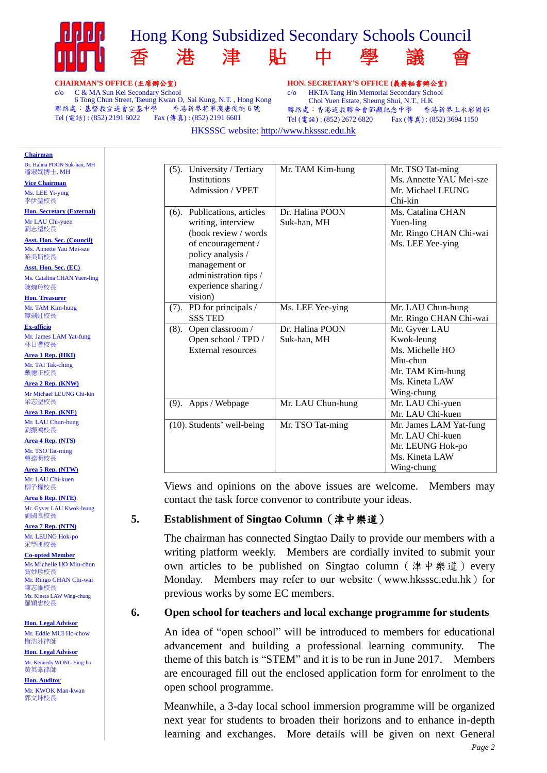

#### **CHAIRMAN'S OFFICE (**主席辦公室**)**

c/o C & MA Sun Kei Secondary School 6 Tong Chun Street, Tseung Kwan O, Sai Kung, N.T., Hong Kong<br>5 : 基督教宣道會宣基中學 - 香港新界將軍澳唐俊街 6 號 聯絡處:基督教宣道會宣基中學 Tel (電話) : (852) 2191 6022 Fax (傳真) : (852) 2191 6601

**HON. SECRETARY'S OFFICE (**義務秘書辦公室**)** c/o HKTA Tang Hin Memorial Secondary School Choi Yuen Estate, Sheung Shui, N.T., H.K 聯絡處:香港道教聯合會鄧顯紀念中學 香港新界上水彩園邨 Tel (電話): (852) 2672 6820 Fax (傳真): (852) 3694 1150

HKSSSC website: http://www.hksssc.edu.hk

| <b>Chairman</b>                                                                                                                                                                                                               |                                                                                                                                                                                                    |                                |                                                                                                                |
|-------------------------------------------------------------------------------------------------------------------------------------------------------------------------------------------------------------------------------|----------------------------------------------------------------------------------------------------------------------------------------------------------------------------------------------------|--------------------------------|----------------------------------------------------------------------------------------------------------------|
| Dr. Halina POON Suk-han, MH<br>潘淑嫘博士, MH<br><b>Vice Chairman</b><br>Ms. LEE Yi-ying<br>李伊瑩校長                                                                                                                                  | (5). University / Tertiary<br><b>Institutions</b><br>Admission / VPET                                                                                                                              | Mr. TAM Kim-hung               | Mr. TSO Tat-ming<br>Ms. Annette YAU Mei-sze<br>Mr. Michael LEUNG<br>Chi-kin                                    |
| <b>Hon. Secretary (External)</b><br>Mr LAU Chi-yuen<br>劉志遠校長<br><b>Asst. Hon. Sec. (Council)</b><br>Ms. Annette Yau Mei-sze<br>游美斯校長<br>Asst. Hon. Sec. (EC)<br>Ms. Catalina CHAN Yuen-ling<br>陳婉玲校長<br><b>Hon. Treasurer</b> | (6). Publications, articles<br>writing, interview<br>(book review / words)<br>of encouragement /<br>policy analysis /<br>management or<br>administration tips /<br>experience sharing /<br>vision) | Dr. Halina POON<br>Suk-han, MH | Ms. Catalina CHAN<br>Yuen-ling<br>Mr. Ringo CHAN Chi-wai<br>Ms. LEE Yee-ying                                   |
| Mr. TAM Kim-hung<br>譚劍虹校長                                                                                                                                                                                                     | PD for principals /<br>$(7)$ .<br><b>SSS TED</b>                                                                                                                                                   | Ms. LEE Yee-ying               | Mr. LAU Chun-hung<br>Mr. Ringo CHAN Chi-wai                                                                    |
| <b>Ex-officio</b><br>Mr. James LAM Yat-fung<br>林日豐校長<br>Area 1 Rep. (HKI)<br>Mr. TAI Tak-ching<br>戴德正校長<br>Area 2 Rep. (KNW)<br>Mr Michael LEUNG Chi-kin                                                                      | Open classroom /<br>$(8)$ .<br>Open school / TPD /<br><b>External resources</b>                                                                                                                    | Dr. Halina POON<br>Suk-han, MH | Mr. Gyver LAU<br>Kwok-leung<br>Ms. Michelle HO<br>Miu-chun<br>Mr. TAM Kim-hung<br>Ms. Kineta LAW<br>Wing-chung |
| 梁志堅校長<br>Area 3 Rep. (KNE)                                                                                                                                                                                                    | (9). Apps / Webpage                                                                                                                                                                                | Mr. LAU Chun-hung              | Mr. LAU Chi-yuen<br>Mr. LAU Chi-kuen                                                                           |
| Mr. LAU Chun-hung<br>劉振鴻校長<br>Area 4 Rep. (NTS)<br>Mr. TSO Tat-ming<br>曹達明校長<br>Area 5 Rep. (NTW)                                                                                                                             | $(10)$ . Students' well-being                                                                                                                                                                      | Mr. TSO Tat-ming               | Mr. James LAM Yat-fung<br>Mr. LAU Chi-kuen<br>Mr. LEUNG Hok-po<br>Ms. Kineta LAW<br>Wing-chung                 |
| Mr. LAU Chi-kuen                                                                                                                                                                                                              |                                                                                                                                                                                                    |                                |                                                                                                                |

Views and opinions on the above issues are welcome. Members may contact the task force convenor to contribute your ideas.

# **5. Establishment of Singtao Column**(津中樂道)

The chairman has connected Singtao Daily to provide our members with a writing platform weekly. Members are cordially invited to submit your own articles to be published on Singtao column (津中樂道) every Monday. Members may refer to our website (www.hksssc.edu.hk) for previous works by some EC members.

#### **6. Open school for teachers and local exchange programme for students**

An idea of "open school" will be introduced to members for educational advancement and building a professional learning community. The theme of this batch is "STEM" and it is to be run in June 2017. Members are encouraged fill out the enclosed application form for enrolment to the open school programme.

Meanwhile, a 3-day local school immersion programme will be organized next year for students to broaden their horizons and to enhance in-depth learning and exchanges. More details will be given on next General

柳子權校長 **Area 6 Rep. (NTE)**

Mr. LEUNG Hok-po 梁學圃校長

#### **Co-opted Member** Ms Michelle HO Miu-chun

賀妙珍校長 Mr. Ringo CHAN Chi-wai 陳志維校長 Ms. Kineta LAW Wing-chung 羅穎忠校長

**Hon. Legal Advisor** Mr. Eddie MUI Ho-chow 梅浩洲律師

**Hon. Legal Advisor**

Mr. Kennedy WONG Ying-ho 黃英豪律師

**Hon. Auditor** Mr. KWOK Man-kwan 郭文坤校長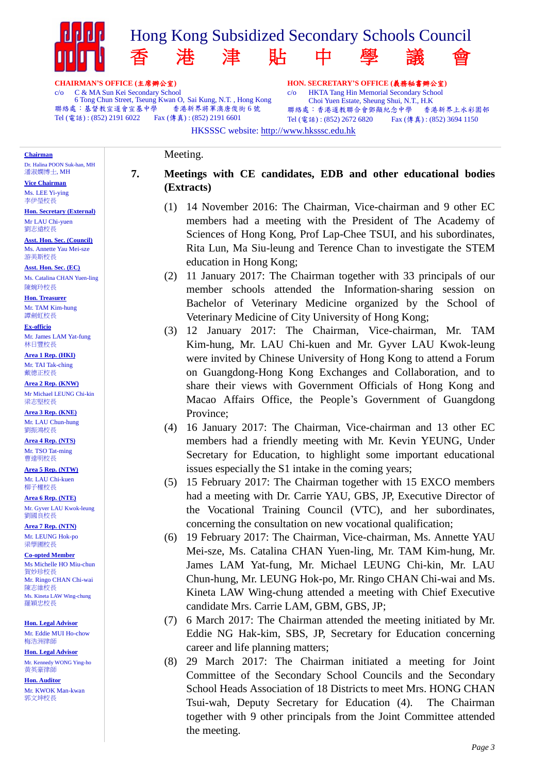

c/o C & MA Sun Kei Secondary School 6 Tong Chun Street, Tseung Kwan O, Sai Kung, N.T., Hong Kong<br>5 : 基督教宣道會宣基中學 - 香港新界將軍澳唐俊街 6 號 聯絡處:基督教宣道會宣基中學 Tel (電話) : (852) 2191 6022 Fax (傳真) : (852) 2191 6601

Meeting.

c/o HKTA Tang Hin Memorial Secondary School Choi Yuen Estate, Sheung Shui, N.T., H.K 聯絡處:香港道教聯合會鄧顯紀念中學 香港新界上水彩園邨 Tel (電話): (852) 2672 6820 Fax (傳真): (852) 3694 1150

HKSSSC website: http://www.hksssc.edu.hk

**Chairman**

Dr. Halina POON Suk-han, MH 潘淑嫻博士, MH

**Vice Chairman** Ms. LEE Yi-ying 李伊瑩校長

**Hon. Secretary (External)** Mr LAU Chi-yuen 劉志遠校長

**Asst. Hon. Sec. (Council)** Ms. Annette Yau Mei-sze 游美斯校長

**Asst. Hon. Sec. (EC)** Ms. Catalina CHAN Yuen-ling 陳婉玲校長

**Hon. Treasurer** Mr. TAM Kim-hung 譚劍虹校長

**Ex-officio** Mr. James LAM Yat-fung 林日豐校長

**Area 1 Rep. (HKI)** Mr. TAI Tak-ching 戴德正校長

**Area 2 Rep. (KNW)** Mr Michael LEUNG Chi-kin 梁志堅校長

**Area 3 Rep. (KNE)** Mr. LAU Chun-hung 劉振鴻校長

**Area 4 Rep. (NTS)** Mr. TSO Tat-ming 曹達明校長

**Area 5 Rep. (NTW)** Mr. LAU Chi-kuen 柳子權校長

**Area 6 Rep. (NTE)** Mr. Gyver LAU Kwok-leung 劉國良校長

**Area 7 Rep. (NTN)** Mr. LEUNG Hok-po 梁學圃校長

**Co-opted Member** Ms Michelle HO Miu-chun 賀妙珍校長 Mr. Ringo CHAN Chi-wai 陳志維校長 Ms. Kineta LAW Wing-chung 羅穎忠校長

**Hon. Legal Advisor** Mr. Eddie MUI Ho-chow 梅浩洲律師

**Hon. Legal Advisor** Mr. Kennedy WONG Ying-ho 黃英豪律師

**Hon. Auditor** Mr. KWOK Man-kwan 郭文坤校長

# **7. Meetings with CE candidates, EDB and other educational bodies (Extracts)**

- (1) 14 November 2016: The Chairman, Vice-chairman and 9 other EC members had a meeting with the President of The Academy of Sciences of Hong Kong, Prof Lap-Chee TSUI, and his subordinates, Rita Lun, Ma Siu-leung and Terence Chan to investigate the STEM education in Hong Kong;
- (2) 11 January 2017: The Chairman together with 33 principals of our member schools attended the Information‐sharing session on Bachelor of Veterinary Medicine organized by the School of Veterinary Medicine of City University of Hong Kong;
- (3) 12 January 2017: The Chairman, Vice-chairman, Mr. TAM Kim-hung, Mr. LAU Chi-kuen and Mr. Gyver LAU Kwok-leung were invited by Chinese University of Hong Kong to attend a Forum on Guangdong-Hong Kong Exchanges and Collaboration, and to share their views with Government Officials of Hong Kong and Macao Affairs Office, the People's Government of Guangdong Province;
- (4) 16 January 2017: The Chairman, Vice-chairman and 13 other EC members had a friendly meeting with Mr. Kevin YEUNG, Under Secretary for Education, to highlight some important educational issues especially the S1 intake in the coming years;
- (5) 15 February 2017: The Chairman together with 15 EXCO members had a meeting with Dr. Carrie YAU, GBS, JP, Executive Director of the Vocational Training Council (VTC), and her subordinates, concerning the consultation on new vocational qualification;
- (6) 19 February 2017: The Chairman, Vice-chairman, Ms. Annette YAU Mei-sze, Ms. Catalina CHAN Yuen-ling, Mr. TAM Kim-hung, Mr. James LAM Yat-fung, Mr. Michael LEUNG Chi-kin, Mr. LAU Chun-hung, Mr. LEUNG Hok-po, Mr. Ringo CHAN Chi-wai and Ms. Kineta LAW Wing-chung attended a meeting with Chief Executive candidate Mrs. Carrie LAM, GBM, GBS, JP;
- (7) 6 March 2017: The Chairman attended the meeting initiated by Mr. Eddie NG Hak-kim, SBS, JP, Secretary for Education concerning career and life planning matters;
- (8) 29 March 2017: The Chairman initiated a meeting for Joint Committee of the Secondary School Councils and the Secondary School Heads Association of 18 Districts to meet Mrs. HONG CHAN Tsui-wah, Deputy Secretary for Education (4). The Chairman together with 9 other principals from the Joint Committee attended the meeting.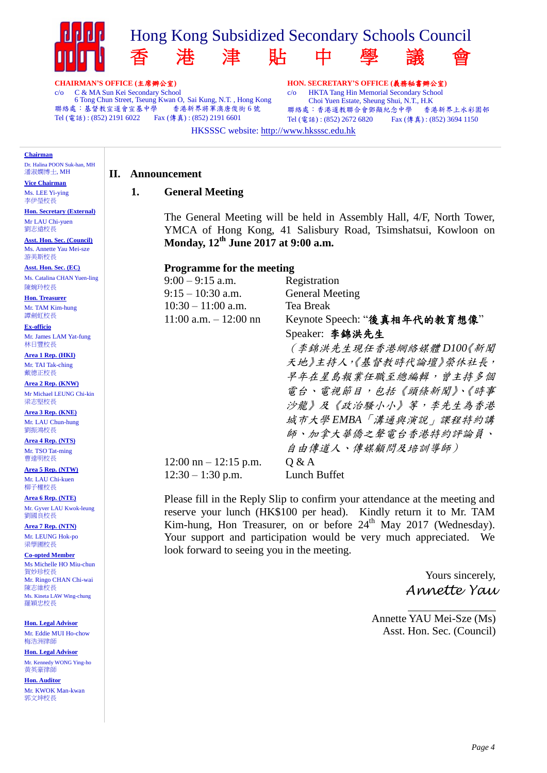

**CHAIRMAN'S OFFICE (**主席辦公室**)**

c/o C & MA Sun Kei Secondary School 6 Tong Chun Street, Tseung Kwan O, Sai Kung, N.T., Hong Kong<br>5 : 基督教宣道會宣基中學 - 香港新界將軍澳唐俊街 6 號 聯絡處:基督教宣道會宣基中學 Tel (電話) : (852) 2191 6022 Fax (傳真) : (852) 2191 6601

**HON. SECRETARY'S OFFICE (**義務秘書辦公室**)** c/o HKTA Tang Hin Memorial Secondary School Choi Yuen Estate, Sheung Shui, N.T., H.K 聯絡處:香港道教聯合會鄧顯紀念中學 香港新界上水彩園邨 Tel (電話): (852) 2672 6820 Fax (傳真): (852) 3694 1150

HKSSSC website: http://www.hksssc.edu.hk

#### **Chairman**

Dr. Halina POON Suk-han, MH 潘淑嫻博士, MH

**Vice Chairman** Ms. LEE Yi-ying 李伊瑩校長

**Hon. Secretary (External)** Mr LAU Chi-yuen 劉志遠校長

**Asst. Hon. Sec. (Council)** Ms. Annette Yau Mei-sze 游美斯校長

**Asst. Hon. Sec. (EC)** Ms. Catalina CHAN Yuen-ling 陳婉玲校長

**Hon. Treasurer** Mr. TAM Kim-hung 譚劍虹校長

**Ex-officio** Mr. James LAM Yat-fung 林日豐校長

**Area 1 Rep. (HKI)** Mr. TAI Tak-ching 戴德正校長

**Area 2 Rep. (KNW)** Mr Michael LEUNG Chi-kin 梁志堅校長

**Area 3 Rep. (KNE)** Mr. LAU Chun-hung 劉振鴻校長

**Area 4 Rep. (NTS)** Mr. TSO Tat-ming 曹達明校長

**Area 5 Rep. (NTW)** Mr. LAU Chi-kuen 柳子權校長

**Area 6 Rep. (NTE)** Mr. Gyver LAU Kwok-leung 劉國良校長

**Area 7 Rep. (NTN)** Mr. LEUNG Hok-po 梁學圃校長

**Co-opted Member** Ms Michelle HO Miu-chun 賀妙珍校長 Mr. Ringo CHAN Chi-wai 陳志維校長 Ms. Kineta LAW Wing-chung 羅穎忠校長

**Hon. Legal Advisor** Mr. Eddie MUI Ho-chow 梅浩洲律師

**Hon. Legal Advisor** Mr. Kennedy WONG Ying-ho 黃英豪律師

**Hon. Auditor** Mr. KWOK Man-kwan 郭文坤校長

#### **II. Announcement**

#### **1. General Meeting**

The General Meeting will be held in Assembly Hall, 4/F, North Tower, YMCA of Hong Kong, 41 Salisbury Road, Tsimshatsui, Kowloon on **Monday, 12th June 2017 at 9:00 a.m.**

#### **Programme for the meeting**

| $9:00 - 9:15$ a.m.                      | Registration                 |
|-----------------------------------------|------------------------------|
| $9:15 - 10:30$ a.m.                     | <b>General Meeting</b>       |
| $10:30 - 11:00$ a.m.                    | <b>Tea Break</b>             |
| $11:00$ a.m. $-12:00$ nn                | Keynote Speech: "後真相年代的教育想像" |
|                                         | Speaker: 李錦洪先生               |
|                                         | (李錦洪先生現任香港網絡媒體 D100《新聞       |
|                                         | 天地》主持人,《基督教時代論壇》榮休社長,        |
|                                         | 早年在星島報業任職至總編輯,曾主持多個          |
|                                         | <b>電台、電視節目,包括《頭條新聞》、《時事</b>  |
|                                         | 沙龍》及《政治騷小小》等,李先生為香港          |
|                                         | 城市大學EMBA「溝通與演說」課程特約講         |
|                                         | 師、加拿大華僑之聲電台香港特約評論員、          |
|                                         | 自由傳道人、傳媒顧問及培訓導師)             |
| $12:00 \text{ nm} - 12:15 \text{ p.m.}$ | Q & A                        |
| $12:30 - 1:30$ p.m.                     | Lunch Buffet                 |

Please fill in the Reply Slip to confirm your attendance at the meeting and reserve your lunch (HK\$100 per head). Kindly return it to Mr. TAM Kim-hung, Hon Treasurer, on or before 24<sup>th</sup> May 2017 (Wednesday). Your support and participation would be very much appreciated. We look forward to seeing you in the meeting.

> Yours sincerely, *Annette Yau*

Annette YAU Mei-Sze (Ms) Asst. Hon. Sec. (Council)

 $\overline{a}$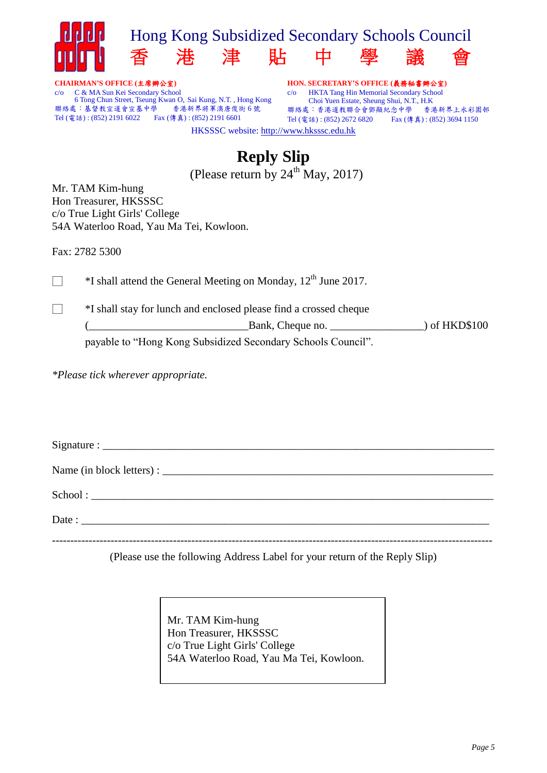

**CHAIRMAN'S OFFICE (**主席辦公室**)** c/o C & MA Sun Kei Secondary School 6 Tong Chun Street, Tseung Kwan O, Sai Kung, N.T. , Hong Kong 聯絡處:基督教宣道會宣基中學 Tel (電話) : (852) 2191 6022 Fax (傳真) : (852) 2191 6601

**HON. SECRETARY'S OFFICE (**義務秘書辦公室**)** c/o HKTA Tang Hin Memorial Secondary School Choi Yuen Estate, Sheung Shui, N.T., H.K 聯絡處:香港道教聯合會鄧顯紀念中學 香港新界上水彩園邨 Tel (電話): (852) 2672 6820 Fax (傳真): (852) 3694 1150 HKSSSC website: http://www.hksssc.edu.hk

# **Reply Slip**

(Please return by  $24^{\text{th}}$  May, 2017)

Mr. TAM Kim-hung Hon Treasurer, HKSSSC c/o True Light Girls' College 54A Waterloo Road, Yau Ma Tei, Kowloon.

Fax: 2782 5300

 $\Box$  \*I shall attend the General Meeting on Monday, 12<sup>th</sup> June 2017.

□ \*I shall stay for lunch and enclosed please find a crossed cheque

(\_\_\_\_\_\_\_\_\_\_\_\_\_\_\_\_\_\_\_\_\_\_\_\_\_\_\_\_\_Bank, Cheque no. \_\_\_\_\_\_\_\_\_\_\_\_\_\_\_\_\_) of HKD\$100

payable to "Hong Kong Subsidized Secondary Schools Council".

*\*Please tick wherever appropriate.* 

 $Signature:$ Name (in block letters) :  $School:$  $\text{Date}:$ 

(Please use the following Address Label for your return of the Reply Slip)

Mr. TAM Kim-hung Hon Treasurer, HKSSSC c/o True Light Girls' College 54A Waterloo Road, Yau Ma Tei, Kowloon.